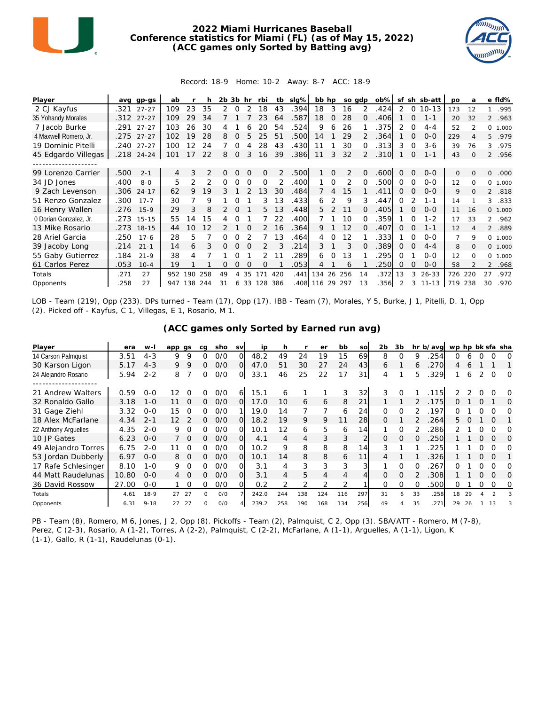

## **2022 Miami Hurricanes Baseball Conference statistics for Miami (FL) (as of May 15, 2022) (ACC games only Sorted by Batting avg)**



## Record: 18-9 Home: 10-2 Away: 8-7 ACC: 18-9

| Player                 | ava  | $qp-gs$    | ab  |     |               | 2b | 3b       | hr       | rbi      | tb  | $slq\%$ | bb hp  |          | so adp |               | $ob\%$ | sf       |          | sh sb-att | po  | a        |                | e fld%  |
|------------------------|------|------------|-----|-----|---------------|----|----------|----------|----------|-----|---------|--------|----------|--------|---------------|--------|----------|----------|-----------|-----|----------|----------------|---------|
| 2 CJ Kayfus            | .321 | $27 - 27$  | 109 | 23  | 35            | 2  | $\Omega$ |          | 18       | 43  | .394    | 18     | 3        | 16     | 2             | .424   | 2        | $\circ$  | $10 - 13$ | 173 | 12       | $\mathbf{1}$   | .995    |
| 35 Yohandy Morales     | .312 | $27 - 27$  | 109 | 29  | 34            |    |          |          | 23       | 64  | .587    | 18     | $\Omega$ | 28     | $\Omega$      | .406   |          | $\Omega$ | $1 - 1$   | 20  | 32       |                | 2 .963  |
| 7 Jacob Burke          | .291 | $27 - 27$  | 103 | 26  | 30            |    |          |          | 20       | 54  | .524    | 9      | 6        | 26     |               | 375    | 2        | 0        | $4 - 4$   | 52  |          |                | 0 1.000 |
| 4 Maxwell Romero, Jr.  | .275 | $27 - 27$  | 102 | 19  | 28            | 8  |          | 5        | 25       | 51  | .500    | 14     |          | 29     |               | 364    |          | $\Omega$ | $O - O$   | 229 |          | 5              | .979    |
| 19 Dominic Pitelli     |      | .240 27-27 | 100 | 12  | 24            |    | Ω        |          | 28       | 43  | .430    | 11     |          | 30     | 0             | 313    | 3        | 0        | $3-6$     | 39  | 76       | 3              | .975    |
| 45 Edgardo Villegas    |      | .218 24-24 | 101 | 17  | 22            | 8  | $\Omega$ | 3        | 16       | 39  | .386    | 11     | 3        | 32     | $\mathcal{P}$ | .310   |          | 0        | $1 - 1$   | 43  | $\Omega$ |                | 2 .956  |
|                        |      |            |     |     |               |    |          |          |          |     |         |        |          |        |               |        |          |          |           |     |          |                |         |
| 99 Lorenzo Carrier     | 500  | $2 - 1$    | 4   | 3   | $\mathcal{P}$ | 0  |          | $\Omega$ | $\Omega$ | 2   | .500    |        | $\Omega$ | 2      | $\Omega$      | .600   | $\Omega$ | $\Omega$ | $0 - 0$   | 0   | $\Omega$ | 0              | .000    |
| 34 JD Jones            | .400 | $8 - 0$    | 5   | 2   |               | O  | Ω        | ∩        | $\Omega$ |     | .400    |        | ∩        | 2      | O             | .500   | ∩        | ∩        | $O-O$     | 12  | $\Omega$ | $\Omega$       | 1.000   |
| 9 Zach Levenson        | .306 | $24 - 17$  | 62  | 9   | 19            | 3  |          |          | 13       | 30  | .484    |        | 4        | 15     |               | .411   | 0        | 0        | $0 - 0$   | 9   | 0        | $\overline{2}$ | .818    |
| 51 Renzo Gonzalez      | .300 | $17 - 7$   | 30  |     | 9             |    |          |          | 3        | 13  | .433    | 6      | 2        | 9      | 3             | .447   | ∩        |          | $1 - 1$   | 14  |          | 3              | .833    |
| 16 Henry Wallen        | .276 | $15-9$     | 29  | 3   | 8             |    |          |          | 5.       | 13  | .448    | 5.     |          | 11     |               | .405   |          | $\Omega$ | $0 - 0$   | 11  | 16       |                | 0 1.000 |
| 0 Dorian Gonzalez, Jr. | .273 | $15 - 15$  | 55  | 14  | 15            |    |          |          |          | 22  | .400    |        |          | 10     | ∩             | 359    |          | ∩        | $1 - 2$   | 17  | 33       |                | 2.962   |
| 13 Mike Rosario        | .273 | $18 - 15$  | 44  | 10  | 12            |    |          | ∩        | 2        | 16  | .364    | 9      |          | 12     | $\Omega$      | .407   | 0        | $\Omega$ | $1 - 1$   | 12  | 4        |                | 2 .889  |
| 28 Ariel Garcia        | .250 | $17 - 6$   | 28  | 5   |               | O  |          |          |          | 13  | .464    | 4      | ∩        | 12     |               | 333    |          | ∩        | $0 - 0$   | 7   | 9        |                | 0 1.000 |
| 39 Jacoby Long         | .214 | $21 - 1$   | 14  | 6   | 3             | 0  |          |          |          |     | .214    | 3      |          | 3      |               | .389   | 0        | $\Omega$ | $4 - 4$   | 8   | $\Omega$ |                | 0 1.000 |
| 55 Gaby Gutierrez      | .184 | $21 - 9$   | 38  | 4   |               |    |          |          | 2        |     | 289     | 6      | O        | 13     |               | 295    | 0        |          | $O-O$     | 12  | $\Omega$ | $\Omega$       | 1.000   |
| 61 Carlos Perez        | 053  | $10 - 4$   | 19  |     |               | Ω  | O        | $\Omega$ | 0        |     | .053    | 4      |          | 6      |               | 250    | O        | Ω        | $0 - 0$   | 58  |          | $\overline{2}$ | .968    |
| Totals                 | .271 | 27         | 952 | 190 | 258           | 49 |          | 35       | 171      | 420 | .441    | 134    | 26       | 256    | 14            | .372   | 13       | 3        | $26 - 33$ | 726 | 220      | 27             | .972    |
| Opponents              | .258 | 27         | 947 | 138 | 244           | 31 | 6.       | 33       | 128      | 386 | .408    | 116 29 |          | 297    | 13            | .356   |          | 3        | $11 - 13$ | 719 | 238      | 30             | .970    |

LOB - Team (219), Opp (233). DPs turned - Team (17), Opp (17). IBB - Team (7), Morales, Y 5, Burke, J 1, Pitelli, D. 1, Opp (2). Picked off - Kayfus, C 1, Villegas, E 1, Rosario, M 1.

| (ACC games only Sorted by Earned run avg) |  |  |  |  |
|-------------------------------------------|--|--|--|--|
|                                           |  |  |  |  |

| Player               | era   | w-I      | app gs |          | ca | sho | <b>SV</b> | ip    | h   |                | er  | bb  | SO  | 2 <sub>b</sub> | 3b       |          | hr b/avg | wp hp bk sfa sha |    |   |          |          |
|----------------------|-------|----------|--------|----------|----|-----|-----------|-------|-----|----------------|-----|-----|-----|----------------|----------|----------|----------|------------------|----|---|----------|----------|
| 14 Carson Palmquist  | 3.51  | $4 - 3$  | 9      | 9        | 0  | O/O | $\Omega$  | 48.2  | 49  | 24             | 19  | 15  | 69  | 8              | $\Omega$ | 9        | 254      | ∩                | 6  |   |          | 0        |
| 30 Karson Ligon      | 5.17  | $4 - 3$  | 9      | 9        | Ω  | O/O | O         | 47.0  | 51  | 30             | 27  | 24  | 43  | 6              |          | 6        | 270      | 4                | 6  |   |          |          |
| 24 Alejandro Rosario | 5.94  | $2 - 2$  | 8      |          | 0  | 0/0 | O         | 33.1  | 46  | 25             | 22  | 17  | 31  | 4              |          | 5.       | .329     |                  | 6  | 2 | $\Omega$ | $\Omega$ |
|                      |       |          |        |          |    |     |           |       |     |                |     |     |     |                |          |          |          |                  |    |   |          |          |
| 21 Andrew Walters    | 0.59  | $0 - 0$  | 12     |          | Ο  | O/O | 6         | 15.1  | 6   |                |     | 3   | 32  | 3              |          |          | 115      |                  |    |   |          | O        |
| 32 Ronaldo Gallo     | 3.18  | $1 - 0$  | 11     | $\Omega$ | 0  | O/O | O         | 17.0  | 10  | 6              | 6   | 8   | 21  |                |          |          | 175      | Ω                |    |   |          | O        |
| 31 Gage Ziehl        | 3.32  | $0 - 0$  | 15     | O        | Ω  | O/O |           | 19.0  | 14  |                |     | 6   | 24  | 0              | 0        |          | 197      | Ω                |    |   |          |          |
| 18 Alex McFarlane    | 4.34  | $2 - 1$  | 12     |          | 0  | O/O | Ω         | 18.2  | 19  | 9              | 9   |     | 28  | <sup>o</sup>   |          |          | 264      | 5.               |    |   | O        |          |
| 22 Anthony Arquelles | 4.35  | $2 - 0$  | 9      | $\Omega$ | ∩  | 0/0 | Ω         | 10.1  | 12  | 6              | 5   | 6   | 14  |                | O        |          | 286      |                  |    |   |          | O        |
| 10 JP Gates          | 6.23  | $0 - 0$  |        | $\Omega$ | Ω. | O/O | Ω         | 4.1   | 4   | $\overline{4}$ | 3   | 3   |     | $\Omega$       | $\Omega$ | $\Omega$ | 250      |                  |    | 0 | $\Omega$ | O        |
| 49 Alejandro Torres  | 6.75  | $2 - 0$  |        | O        | ∩  | O/O | Ω         | 10.2  | 9   | 8              | 8   | 8   | 14  | 3              |          |          | 225      |                  |    |   | $\Omega$ | O        |
| 53 Jordan Dubberly   | 6.97  | $O-O$    | 8      | $\Omega$ | 0  | O/O | $\Omega$  | 10.1  | 14  | 8              | 8   | 6   | 11  | 4              |          |          | 326      |                  |    | 0 |          |          |
| 17 Rafe Schlesinger  | 8.10  | $1 - 0$  | 9      | $\Omega$ | ∩  | O/O | ი         | 3.1   | 4   | 3              | 3   | 3   | 3   |                |          |          | 267      |                  |    |   |          | Ω        |
| 44 Matt Raudelunas   | 10.80 | $O-O$    | 4      | $\Omega$ | 0  | O/O | 0         | 3.1   | 4   | 5              | 4   | 4   |     | 0              | O        |          | 308      |                  |    | 0 | $\Omega$ | O        |
| 36 David Rossow      | 27.00 | $0 - 0$  |        |          |    | 0/0 |           | 0.2   |     |                |     |     |     |                |          |          | 500      | O                |    |   |          | O        |
| Totals               | 4.61  | $18-9$   | 27     | 27       | ი  | O/O |           | 242.0 | 244 | 138            | 124 | 116 | 297 | 31             | Ь        | 33       | .258     | 18               | 29 |   |          |          |
| Opponents            | 6.31  | $9 - 18$ | 27     | 27       | O. | O/O |           | 239.2 | 258 | 190            | 168 | 134 | 256 | 49             |          | 35       | 271      | 29               | 26 |   | 13       |          |

PB - Team (8), Romero, M 6, Jones, J 2, Opp (8). Pickoffs - Team (2), Palmquist, C 2, Opp (3). SBA/ATT - Romero, M (7-8), Perez, C (2-3), Rosario, A (1-2), Torres, A (2-2), Palmquist, C (2-2), McFarlane, A (1-1), Arguelles, A (1-1), Ligon, K (1-1), Gallo, R (1-1), Raudelunas (0-1).